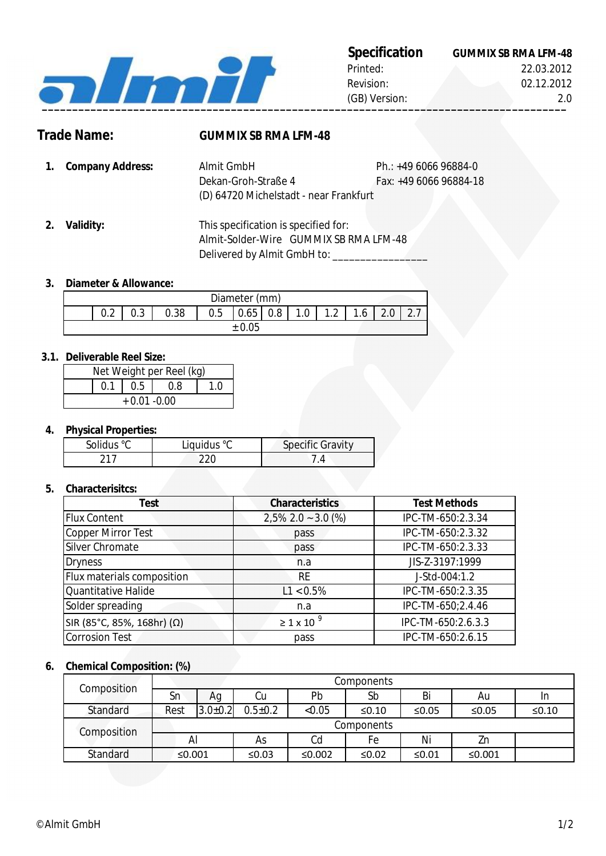

# **Specification**

| Specification | <b>GUMMIX SB RMA LFM-48</b> |
|---------------|-----------------------------|
| Printed:      | 22.03.2012                  |
| Revision:     | 02.12.2012                  |
| (GB) Version: | 2 Q                         |

# **Trade Name: GUMMIX SB RMA LFM-48**

- **1.** Ph.: +49 6066 96884-0 **Company Address:** Fax: +49 6066 96884-18 Dekan-Groh-Straße 4 Almit GmbH (D) 64720 Michelstadt - near Frankfurt
- **2. Validity:** GUMMIX SB RMA LFM-48 Almit-Solder-Wire This specification is specified for: Delivered by Almit GmbH to: \_\_\_\_\_\_\_\_\_\_

#### **3. Diameter & Allowance:**

|               |        |      |     | Diameter (mm) |     |    |     |                                             |                       |
|---------------|--------|------|-----|---------------|-----|----|-----|---------------------------------------------|-----------------------|
| $\cap$<br>v.z | $\sim$ | 0.38 | 0.5 | 0.65          | 0.8 | 0. | 1.2 | $\overline{\phantom{a}}$<br>.6 <sub>1</sub> | $\sim$ $\overline{ }$ |
| ± 0.05        |        |      |     |               |     |    |     |                                             |                       |

### **3.1. Deliverable Reel Size:**

| Net Weight per Reel (kg) |  |                   |     |  |  |
|--------------------------|--|-------------------|-----|--|--|
|                          |  | $\vert 0.5 \vert$ | 0.8 |  |  |
| $+0.01 - 0.00$           |  |                   |     |  |  |

## **4. Physical Properties:**

| Solidus °C | Liquidus °C | <b>Specific Gravity</b> |
|------------|-------------|-------------------------|
|            |             |                         |

#### **5. Characterisitcs:**

| <b>Test</b>                | <b>Characteristics</b>  | <b>Test Methods</b> |
|----------------------------|-------------------------|---------------------|
| <b>Flux Content</b>        | $2,5\%$ 2.0 ~ 3.0 (%)   | IPC-TM-650:2.3.34   |
| Copper Mirror Test         | pass                    | IPC-TM-650:2.3.32   |
| Silver Chromate            | pass                    | IPC-TM-650:2.3.33   |
| <b>Dryness</b>             | n.a                     | JIS-Z-3197:1999     |
| Flux materials composition | <b>RE</b>               | J-Std-004:1.2       |
| Quantitative Halide        | $L1 < 0.5\%$            | IPC-TM-650:2.3.35   |
| Solder spreading           | n.a                     | IPC-TM-650;2.4.46   |
| SIR (85°C, 85%, 168hr) (Ω) | $\geq 1 \times 10^{-9}$ | IPC-TM-650:2.6.3.3  |
| <b>Corrosion Test</b>      | pass                    | IPC-TM-650:2.6.15   |

#### **6. Chemical Composition: (%)**

| Composition |        |               |             |        | Components |          |           |         |
|-------------|--------|---------------|-------------|--------|------------|----------|-----------|---------|
|             | Sn     | Ag            | Сu          | Pb     | Sb         | Bi       | Au        | In      |
| Standard    | Rest   | $3.0 \pm 0.2$ | $0.5 + 0.2$ | < 0.05 | ≤ $0.10$   | ≤0.05    | ≤0.05     | $≤0.10$ |
| Composition |        |               |             |        | Components |          |           |         |
|             | Al     |               | As          | Cd     | Fе         | Ni       | Zn        |         |
| Standard    | ≤0.001 |               | ≤0.03       | ≤0.002 | ≤0.02      | ≤ $0.01$ | ≤ $0.001$ |         |